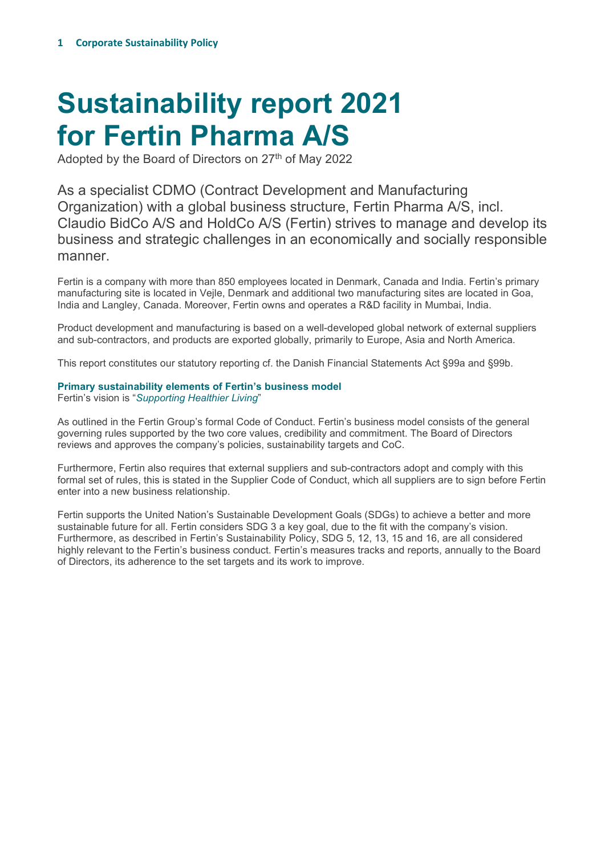# **Sustainability report 2021 for Fertin Pharma A/S**

Adopted by the Board of Directors on 27<sup>th</sup> of May 2022

As a specialist CDMO (Contract Development and Manufacturing Organization) with a global business structure, Fertin Pharma A/S, incl. Claudio BidCo A/S and HoldCo A/S (Fertin) strives to manage and develop its business and strategic challenges in an economically and socially responsible manner.

Fertin is a company with more than 850 employees located in Denmark, Canada and India. Fertin's primary manufacturing site is located in Vejle, Denmark and additional two manufacturing sites are located in Goa, India and Langley, Canada. Moreover, Fertin owns and operates a R&D facility in Mumbai, India.

Product development and manufacturing is based on a well-developed global network of external suppliers and sub-contractors, and products are exported globally, primarily to Europe, Asia and North America.

This report constitutes our statutory reporting cf. the Danish Financial Statements Act §99a and §99b.

# **Primary sustainability elements of Fertin's business model**

Fertin's vision is "*Supporting Healthier Living*"

As outlined in the Fertin Group's formal Code of Conduct. Fertin's business model consists of the general governing rules supported by the two core values, credibility and commitment. The Board of Directors reviews and approves the company's policies, sustainability targets and CoC.

Furthermore, Fertin also requires that external suppliers and sub-contractors adopt and comply with this formal set of rules, this is stated in the Supplier Code of Conduct, which all suppliers are to sign before Fertin enter into a new business relationship.

Fertin supports the United Nation's Sustainable Development Goals (SDGs) to achieve a better and more sustainable future for all. Fertin considers SDG 3 a key goal, due to the fit with the company's vision. Furthermore, as described in Fertin's Sustainability Policy, SDG 5, 12, 13, 15 and 16, are all considered highly relevant to the Fertin's business conduct. Fertin's measures tracks and reports, annually to the Board of Directors, its adherence to the set targets and its work to improve.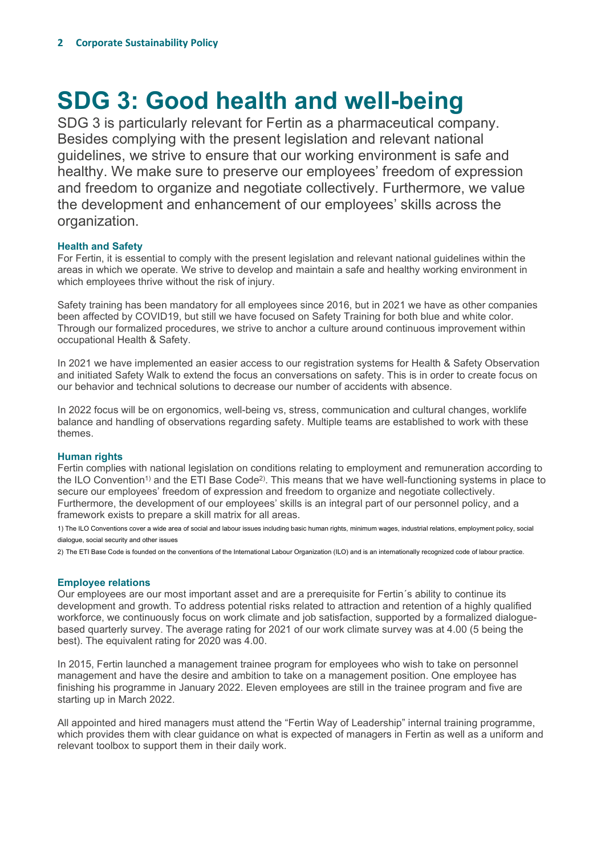# **SDG 3: Good health and well-being**

SDG 3 is particularly relevant for Fertin as a pharmaceutical company. Besides complying with the present legislation and relevant national guidelines, we strive to ensure that our working environment is safe and healthy. We make sure to preserve our employees' freedom of expression and freedom to organize and negotiate collectively. Furthermore, we value the development and enhancement of our employees' skills across the organization.

# **Health and Safety**

For Fertin, it is essential to comply with the present legislation and relevant national guidelines within the areas in which we operate. We strive to develop and maintain a safe and healthy working environment in which employees thrive without the risk of injury.

Safety training has been mandatory for all employees since 2016, but in 2021 we have as other companies been affected by COVID19, but still we have focused on Safety Training for both blue and white color. Through our formalized procedures, we strive to anchor a culture around continuous improvement within occupational Health & Safety.

In 2021 we have implemented an easier access to our registration systems for Health & Safety Observation and initiated Safety Walk to extend the focus an conversations on safety. This is in order to create focus on our behavior and technical solutions to decrease our number of accidents with absence.

In 2022 focus will be on ergonomics, well-being vs, stress, communication and cultural changes, worklife balance and handling of observations regarding safety. Multiple teams are established to work with these themes.

# **Human rights**

Fertin complies with national legislation on conditions relating to employment and remuneration according to the ILO Convention<sup>1</sup>) and the ETI Base Code<sup>2</sup>). This means that we have well-functioning systems in place to secure our employees' freedom of expression and freedom to organize and negotiate collectively. Furthermore, the development of our employees' skills is an integral part of our personnel policy, and a framework exists to prepare a skill matrix for all areas.

1) The ILO Conventions cover a wide area of social and labour issues including basic human rights, minimum wages, industrial relations, employment policy, social dialogue, social security and other issues

2) The ETI Base Code is founded on the conventions of the International Labour Organization (ILO) and is an internationally recognized code of labour practice.

# **Employee relations**

Our employees are our most important asset and are a prerequisite for Fertin´s ability to continue its development and growth. To address potential risks related to attraction and retention of a highly qualified workforce, we continuously focus on work climate and job satisfaction, supported by a formalized dialoguebased quarterly survey. The average rating for 2021 of our work climate survey was at 4.00 (5 being the best). The equivalent rating for 2020 was 4.00.

In 2015, Fertin launched a management trainee program for employees who wish to take on personnel management and have the desire and ambition to take on a management position. One employee has finishing his programme in January 2022. Eleven employees are still in the trainee program and five are starting up in March 2022.

All appointed and hired managers must attend the "Fertin Way of Leadership" internal training programme, which provides them with clear guidance on what is expected of managers in Fertin as well as a uniform and relevant toolbox to support them in their daily work.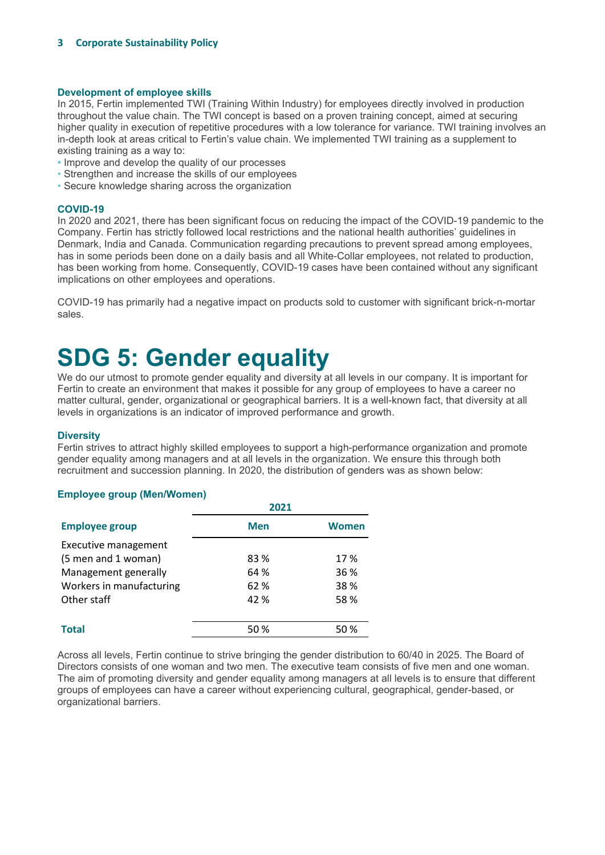### **Development of employee skills**

In 2015, Fertin implemented TWI (Training Within Industry) for employees directly involved in production throughout the value chain. The TWI concept is based on a proven training concept, aimed at securing higher quality in execution of repetitive procedures with a low tolerance for variance. TWI training involves an in-depth look at areas critical to Fertin's value chain. We implemented TWI training as a supplement to existing training as a way to:

- Improve and develop the quality of our processes
- Strengthen and increase the skills of our employees
- Secure knowledge sharing across the organization

#### **COVID-19**

In 2020 and 2021, there has been significant focus on reducing the impact of the COVID-19 pandemic to the Company. Fertin has strictly followed local restrictions and the national health authorities' guidelines in Denmark, India and Canada. Communication regarding precautions to prevent spread among employees, has in some periods been done on a daily basis and all White-Collar employees, not related to production, has been working from home. Consequently, COVID-19 cases have been contained without any significant implications on other employees and operations.

COVID-19 has primarily had a negative impact on products sold to customer with significant brick-n-mortar sales.

# **SDG 5: Gender equality**

We do our utmost to promote gender equality and diversity at all levels in our company. It is important for Fertin to create an environment that makes it possible for any group of employees to have a career no matter cultural, gender, organizational or geographical barriers. It is a well-known fact, that diversity at all levels in organizations is an indicator of improved performance and growth.

### **Diversity**

Fertin strives to attract highly skilled employees to support a high-performance organization and promote gender equality among managers and at all levels in the organization. We ensure this through both recruitment and succession planning. In 2020, the distribution of genders was as shown below:

### **Employee group (Men/Women)**

|                          | 2021       |       |  |
|--------------------------|------------|-------|--|
| <b>Employee group</b>    | <b>Men</b> | Women |  |
| Executive management     |            |       |  |
| (5 men and 1 woman)      | 83 %       | 17 %  |  |
| Management generally     | 64 %       | 36 %  |  |
| Workers in manufacturing | 62 %       | 38 %  |  |
| Other staff              | 42 %       | 58%   |  |
|                          |            |       |  |
| <b>Total</b>             | 50%        | 50%   |  |

Across all levels, Fertin continue to strive bringing the gender distribution to 60/40 in 2025. The Board of Directors consists of one woman and two men. The executive team consists of five men and one woman. The aim of promoting diversity and gender equality among managers at all levels is to ensure that different groups of employees can have a career without experiencing cultural, geographical, gender-based, or organizational barriers.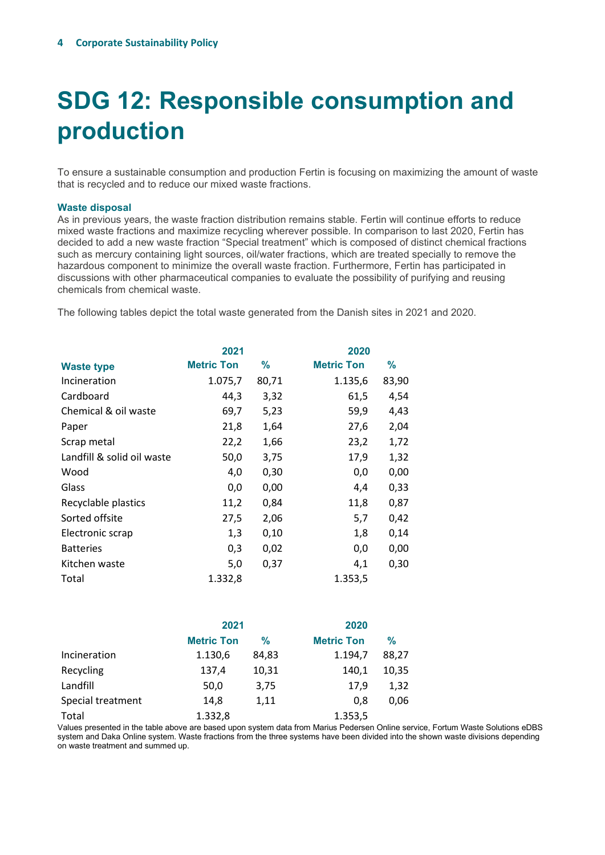# **SDG 12: Responsible consumption and production**

To ensure a sustainable consumption and production Fertin is focusing on maximizing the amount of waste that is recycled and to reduce our mixed waste fractions.

#### **Waste disposal**

As in previous years, the waste fraction distribution remains stable. Fertin will continue efforts to reduce mixed waste fractions and maximize recycling wherever possible. In comparison to last 2020, Fertin has decided to add a new waste fraction "Special treatment" which is composed of distinct chemical fractions such as mercury containing light sources, oil/water fractions, which are treated specially to remove the hazardous component to minimize the overall waste fraction. Furthermore, Fertin has participated in discussions with other pharmaceutical companies to evaluate the possibility of purifying and reusing chemicals from chemical waste.

The following tables depict the total waste generated from the Danish sites in 2021 and 2020.

| 2021              |       | 2020              |       |
|-------------------|-------|-------------------|-------|
| <b>Metric Ton</b> | ℅     | <b>Metric Ton</b> | %     |
| 1.075,7           | 80,71 | 1.135,6           | 83,90 |
| 44,3              | 3,32  | 61,5              | 4,54  |
| 69,7              | 5,23  | 59,9              | 4,43  |
| 21,8              | 1,64  | 27,6              | 2,04  |
| 22,2              | 1,66  | 23,2              | 1,72  |
| 50,0              | 3,75  | 17,9              | 1,32  |
| 4,0               | 0,30  | 0,0               | 0,00  |
| 0,0               | 0,00  | 4,4               | 0,33  |
| 11,2              | 0,84  | 11,8              | 0,87  |
| 27,5              | 2,06  | 5,7               | 0,42  |
| 1,3               | 0,10  | 1,8               | 0,14  |
| 0,3               | 0,02  | 0,0               | 0,00  |
| 5,0               | 0,37  | 4,1               | 0,30  |
| 1.332,8           |       | 1.353,5           |       |
|                   |       |                   |       |

|                   | 2021              |               | 2020              |               |
|-------------------|-------------------|---------------|-------------------|---------------|
|                   | <b>Metric Ton</b> | $\frac{9}{6}$ | <b>Metric Ton</b> | $\frac{9}{6}$ |
| Incineration      | 1.130,6           | 84,83         | 1.194,7           | 88,27         |
| Recycling         | 137,4             | 10,31         | 140.1             | 10,35         |
| Landfill          | 50,0              | 3,75          | 17.9              | 1,32          |
| Special treatment | 14,8              | 1,11          | 0.8               | 0,06          |
| Total             | 1.332,8           |               | 1.353,5           |               |

Values presented in the table above are based upon system data from Marius Pedersen Online service, Fortum Waste Solutions eDBS system and Daka Online system. Waste fractions from the three systems have been divided into the shown waste divisions depending on waste treatment and summed up.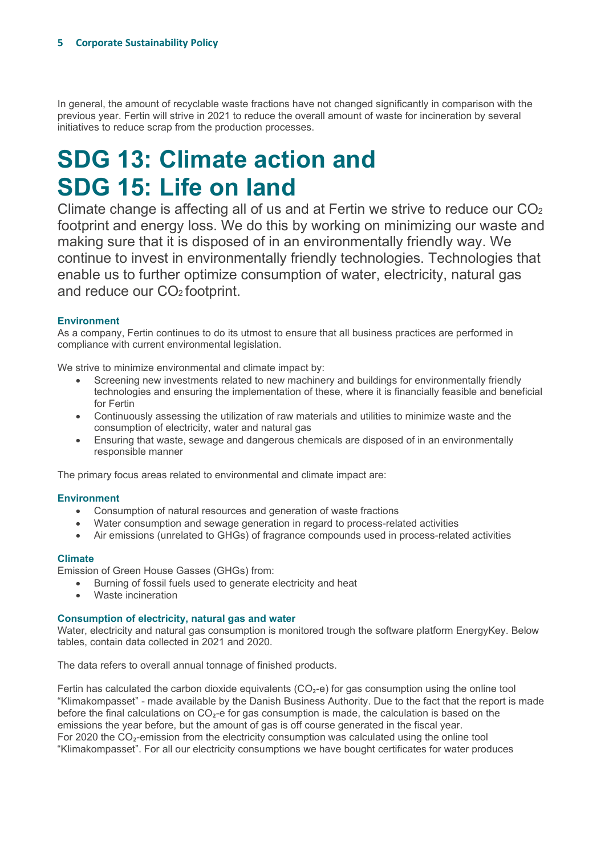In general, the amount of recyclable waste fractions have not changed significantly in comparison with the previous year. Fertin will strive in 2021 to reduce the overall amount of waste for incineration by several initiatives to reduce scrap from the production processes.

# **SDG 13: Climate action and SDG 15: Life on land**

Climate change is affecting all of us and at Fertin we strive to reduce our CO2 footprint and energy loss. We do this by working on minimizing our waste and making sure that it is disposed of in an environmentally friendly way. We continue to invest in environmentally friendly technologies. Technologies that enable us to further optimize consumption of water, electricity, natural gas and reduce our CO<sub>2</sub> footprint.

# **Environment**

As a company, Fertin continues to do its utmost to ensure that all business practices are performed in compliance with current environmental legislation.

We strive to minimize environmental and climate impact by:

- Screening new investments related to new machinery and buildings for environmentally friendly technologies and ensuring the implementation of these, where it is financially feasible and beneficial for Fertin
- Continuously assessing the utilization of raw materials and utilities to minimize waste and the consumption of electricity, water and natural gas
- Ensuring that waste, sewage and dangerous chemicals are disposed of in an environmentally responsible manner

The primary focus areas related to environmental and climate impact are:

# **Environment**

- Consumption of natural resources and generation of waste fractions
- Water consumption and sewage generation in regard to process-related activities
- Air emissions (unrelated to GHGs) of fragrance compounds used in process-related activities

# **Climate**

Emission of Green House Gasses (GHGs) from:

- Burning of fossil fuels used to generate electricity and heat
- Waste incineration

### **Consumption of electricity, natural gas and water**

Water, electricity and natural gas consumption is monitored trough the software platform EnergyKey. Below tables, contain data collected in 2021 and 2020.

The data refers to overall annual tonnage of finished products.

Fertin has calculated the carbon dioxide equivalents  $(CO<sub>2</sub>-e)$  for gas consumption using the online tool "Klimakompasset" - made available by the Danish Business Authority. Due to the fact that the report is made before the final calculations on  $CO<sub>2</sub>$ -e for gas consumption is made, the calculation is based on the emissions the year before, but the amount of gas is off course generated in the fiscal year. For 2020 the CO₂-emission from the electricity consumption was calculated using the online tool "Klimakompasset". For all our electricity consumptions we have bought certificates for water produces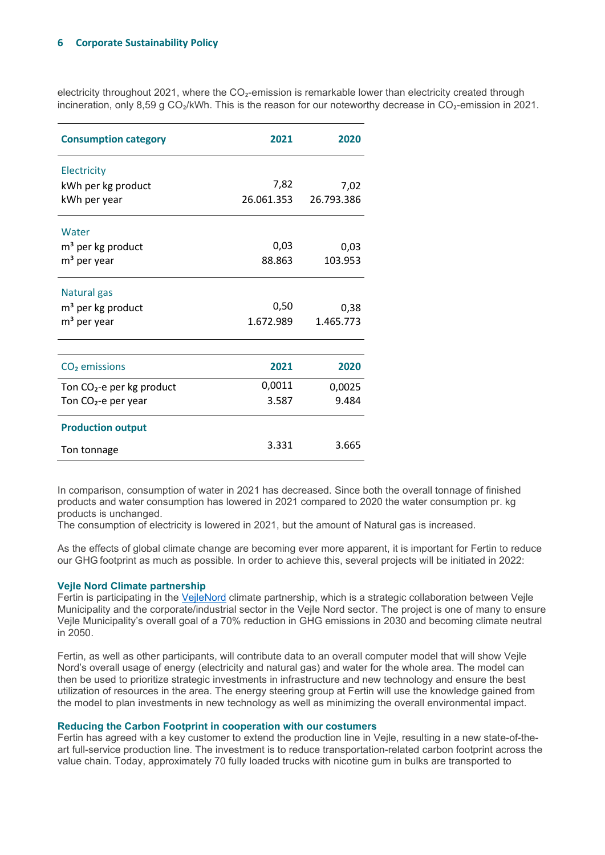### **6 Corporate Sustainability Policy**

electricity throughout 2021, where the CO<sub>2</sub>-emission is remarkable lower than electricity created through incineration, only 8,59 g CO<sub>2</sub>/kWh. This is the reason for our noteworthy decrease in CO<sub>2</sub>-emission in 2021.

| <b>Consumption category</b>           | 2021       | 2020       |
|---------------------------------------|------------|------------|
| Electricity                           |            |            |
| kWh per kg product                    | 7,82       | 7,02       |
| kWh per year                          | 26.061.353 | 26.793.386 |
| Water                                 |            |            |
| m <sup>3</sup> per kg product         | 0,03       | 0,03       |
| m <sup>3</sup> per year               | 88.863     | 103.953    |
| Natural gas                           |            |            |
| m <sup>3</sup> per kg product         | 0,50       | 0,38       |
| m <sup>3</sup> per year               | 1.672.989  | 1.465.773  |
|                                       |            |            |
| CO <sub>2</sub> emissions             | 2021       | 2020       |
| Ton CO <sub>2</sub> -e per kg product | 0,0011     | 0,0025     |
| Ton $CO2$ -e per year                 | 3.587      | 9.484      |
| <b>Production output</b>              |            |            |
| Ton tonnage                           | 3.331      | 3.665      |

In comparison, consumption of water in 2021 has decreased. Since both the overall tonnage of finished products and water consumption has lowered in 2021 compared to 2020 the water consumption pr. kg products is unchanged.

The consumption of electricity is lowered in 2021, but the amount of Natural gas is increased.

As the effects of global climate change are becoming ever more apparent, it is important for Fertin to reduce our GHG footprint as much as possible. In order to achieve this, several projects will be initiated in 2022:

### **Vejle Nord Climate partnership**

Fertin is participating in the [VejleNord](https://vejlenord.dk/) climate partnership, which is a strategic collaboration between Vejle Municipality and the corporate/industrial sector in the Vejle Nord sector. The project is one of many to ensure Vejle Municipality's overall goal of a 70% reduction in GHG emissions in 2030 and becoming climate neutral in 2050.

Fertin, as well as other participants, will contribute data to an overall computer model that will show Vejle Nord's overall usage of energy (electricity and natural gas) and water for the whole area. The model can then be used to prioritize strategic investments in infrastructure and new technology and ensure the best utilization of resources in the area. The energy steering group at Fertin will use the knowledge gained from the model to plan investments in new technology as well as minimizing the overall environmental impact.

### **Reducing the Carbon Footprint in cooperation with our costumers**

Fertin has agreed with a key customer to extend the production line in Vejle, resulting in a new state-of-theart full-service production line. The investment is to reduce transportation-related carbon footprint across the value chain. Today, approximately 70 fully loaded trucks with nicotine gum in bulks are transported to